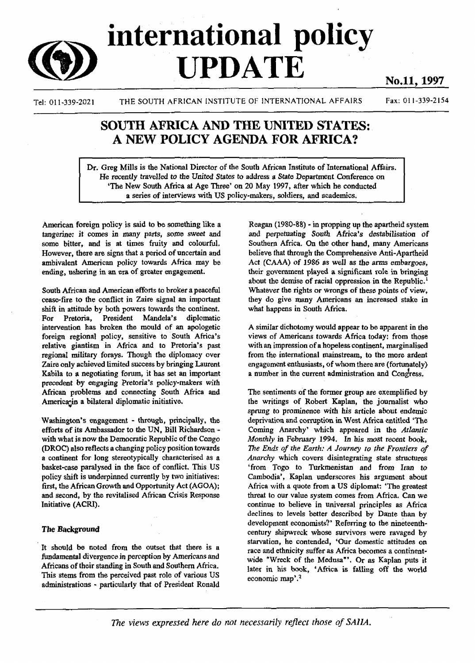# **international policy**  $$

Tel: 011-339-2021 THE SOUTH AFRICAN INSTITUTE OF INTERNATIONAL AFFAIRS Fax: 011-339-2154

# SOUTH AFRICA AND THE UNITED STATES: A NEW POLICY AGENDA FOR AFRICA?

Dr. Greg Mills is the National Director of the South African Institute of International Affairs. He *recently* travelled *to the* United States to address a State Department Conference on 'The New South Africa at Age Three' on 20 May 1997, after which he conducted a series of interviews with US policy-makers, soldiers, and academics.

American foreign policy is said to be something like a tangerine: it comes in many parts, some sweet and some bitter, and is at times fruity and colourful. However, there are signs that a period of uncertain and ambivalent American policy towards Africa may be ending, ushering in an era of greater engagement.

South African and American efforts to broker a peaceful cease-fire to the conflict in Zaire signal an important shift in attitude by both powers towards the continent. For Pretoria, President Mandela's diplomatic intervention has broken the mould of an apologetic foreign regional policy, sensitive to South Africa's relative giantism in Africa and to Pretoria's past regional military forays. Though the diplomacy over Zaire only achieved limited success by bringing Laurent Kabila to a negotiating forum, it has set an important precedent by engaging Pretoria's policy-makers with African problems and connecting South Africa and America in a bilateral diplomatic initiative.

Washington's engagement - through, principally, the efforts of its Ambassador to the UN, Bill Richardson with what is now the Democratic Republic of the Congo (DROC) also reflects a changing policy position towards a continent for long stereotypically characterised as a basket-case paralysed in the face of conflict. This US policy shift is underpinned currently by two initiatives: first, the African Growth and Opportunity Act (AGOA); and second, by the revitalised African Crisis Response Initiative (ACRI).

### **The Background**

It should be noted from the outset that there is a fundamental divergence in perception by Americans and Africans of their standing in South and Southern Africa. This stems from the perceived past role of various US administrations - particularly that of President Ronald

Reagan (1980-88) - in propping up the apartheid system and perpetuating South Africa's destabilisation *of* Southern Africa. On the other hand, many Americans believe that through the Comprehensive Anti-Apartheid Act (CAAA) of 1986 as well as the arms embargoes, their government played a significant role in bringing about the demise of racial oppression in the Republic.<sup>1</sup> Whatever the rights or wrongs of these points of view, they do give many Americans an increased stake in what happens in South Africa.

A similar dichotomy would appear to be apparent in the views of Americans towards Africa today: from those with an impression of a hopeless continent, marginalised from the international mainstream, to the more ardent engagement enthusiasts, of whom there are (fortunately) a number in the current administration and Congress.

The sentiments of the former group are exemplified by the writings of Robert Kaplan, the journalist who sprung to prominence with his article about endemic deprivation and corruption in West Africa entitled 'The Coming Anarchy' which appeared in the *Atlantic Monthly in* February 1994. In his most recent book, *The Ends of the Earth: A Journey to (he Frontiers of Anarchy* which covers disintegrating state structures 'from Togo to Turkmenistan and from Iran *to* Cambodia', Kaplan underscores his argument about Africa with a quote from a US diplomat: 'The greatest threat to our value system comes from Africa. Can we continue to believe in universal principles as Africa declines to levels better described by Dante than by development economists?' Referring to the nineteenthcentury shipwreck whose survivors were ravaged by starvation, he contended, 'Our domestic attitudes on race and ethnicity suffer as Africa becomes a continentwide "Wreck of the Medusa"'. Or as Kaplan puts it later in his book, 'Africa is falling off the world economic map'.<sup>2</sup>

The views expressed here do not necessarily reflect those of SAIIA.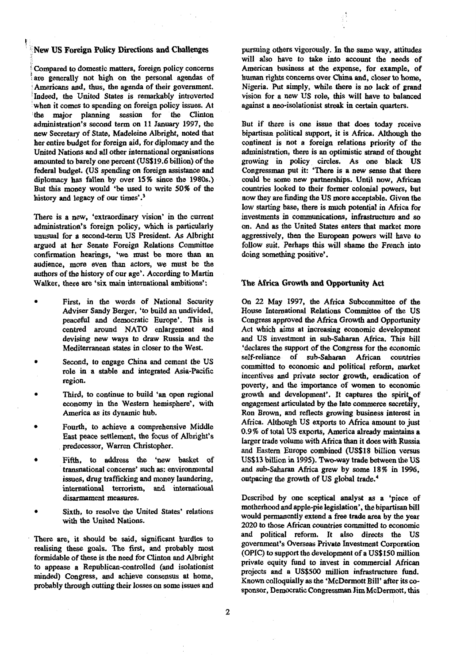## •;New US Foreign Policy Directions and Challenges

**i-** *)* Compared to domestic matters, foreign policy concerns are generally not high on the personal agendas of Americans and, thus, the agenda of their government, Indeed, the United States is remarkably introverted when it comes to spending on foreign policy issues. At 1 the major planning session for the Clinton administration's second term on 11 January 1997, the new Secretary of State, Madeleine Albright, noted that her entire budget for foreign aid, for diplomacy and the United Nations and all other international organisations amounted to barely one percent (US\$19.6 billion) of the federal budget. (US spending on foreign assistance and diplomacy has fallen by over 15% since the 1980s.) But this money would 'be used to write 50% of the history and legacy of our times'.<sup>3</sup>

There is a new, 'extraordinary vision' in the current administration's foreign policy, which is particularly unusual for a second-term US President. As Albright argued at her Senate Foreign Relations Committee confirmation hearings, 'we must be more than an audience, more even than actors, we must be the authors of the history of our age'. According to Martin Walker, there are 'six main international ambitions':

- First, in the words of National Security Adviser Sandy Berger, 'to build an undivided, peaceful and democratic Europe'. This is centred around NATO enlargement and devising new ways to draw Russia and the Mediterranean states in closer to the West.
- Second, to engage China and cement the US role in a stable and integrated Asia-Pacific region.
- Third, to continue to build 'an open regional economy in the Western hemisphere', with America as its dynamic hub.
- Fourth, to achieve a comprehensive Middle East peace settlement, the focus of Albright's predecessor, Warren Christopher.
- Fifth, to address the 'new basket of transnational concerns' such as: environmental issues, drug trafficking and money laundering, international terrorism, and interaatioual disarmament measures.
- Sixth, to resolve the United States' relations with the United Nations.

There are, it should be said, significant hurdles to realising these goals. The first, and probably most formidable of these is the need for Clinton and Albright to appease a Republican-controlled (and isolationist minded) Congress, and achieve consensus at home, probably through cutting their losses on some issues and

pursuing others vigorously. In the same way, attitudes will also have to take into account the needs of American business at the expense, for example, of human rights concerns over China and, closer to home, Nigeria. Put simply, while there is no lack of grand vision for a new US role, this will have to balanced against a neo-isolationist streak in certain quarters.

But if there is one issue that does today receive bipartisan political support, it is Africa. Although the continent is not a foreign relations priority of the administration, there is an optimistic strand of thought growing in policy circles. As one black US Congressman put it: 'There is a new sense that there could be some new partnerships. Until now, African countries looked to their former colonial powers, but now they are finding the US more acceptable. Given the low starting base, there is much potential in Africa for investments in communications, infrastructure and so on. And as the United States enters that market more aggressively, then the European powers will have to follow suit. Perhaps this will shame the French into doing something positive'.

#### **The Africa Growth and Opportunity Act**

On 22 May 1997, the Africa Subcommittee of the House International Relations Committee of the US Congress approved the Africa Growth and Opportunity Act which aims at increasing economic development and US investment in sub-Saharan Africa. This bill 'declares the support of the Congress for the economic self-reliance of sub-Saharan African countries committed to economic and political reform, market incentives and private sector growth, eradication of poverty, and the importance of women to economic growth and development'. It captures the spirit of engagement articulated by the late commerce secretary, Ron Brown, and reflects growing business interest in Africa. Although US exports to Africa amount to just 0.9% of total US exports, America already maintains a larger trade volume with Africa than it does with Russia and Eastern Europe combined (US\$18 billion versus US\$13 billion in 1995). Two-way trade between the US and sub-Saharan Africa grew by some 18% in 1996, outpacing the growth of US global trade.<sup>4</sup>

Described by one sceptical analyst as a 'piece of motherhood and apple-pie legislation', the bipartisan bill would permanently extend a free trade area by the year 2020 to those African countries committed to economic and political reform. It also directs the US government's Overseas Private Investment Corporation (OPIC) to support the development of a US\$150 million private equity fund to invest in commercial African projects and a US\$500 million infrastructure fund. Known colloquially as the 'McDermott Bill' after its cosponsor, Democratic Congressman Jim McDermott, this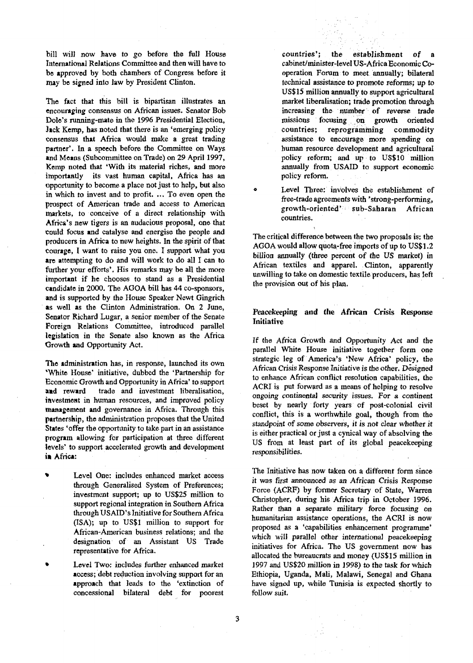bill will now have to go before the full House International Relations Committee and then will have to be approved by both chambers of Congress before it may be signed into law by President Clinton.

The fact that this bill is bipartisan illustrates an encouraging consensus on African issues. Senator Bob Dole's running-mate in the 1996 Presidential Election, Jack Kemp, has noted that there is an 'emerging policy consensus that Africa would make a great trading partner'. In a speech before the Committee on Ways and Means (Subcommittee on Trade) on 29 April 1997, Kemp noted that 'With its material riches, and more importantly its vast human capital, Africa has an opportunity to become a place not just to help, but also in which to invest and to profit. ... To even open the prospect of American trade and access to American markets, to conceive of a direct relationship with Africa's new tigers is an audacious proposal, one that could focus and catalyse and energise the people and producers in Africa to new heights. In the spirit of that courage, I want to raise you one. I support what you are attempting to do and will work to do all I can to further your efforts'. His remarks may be all the more important if he chooses to stand as a Presidential candidate in 2000. The AGOA bill has 44 co-sponsors, and is supported by the House Speaker Newt Gingrich as well as the Clinton Administration. On 2 June, Senator Richard Lugar, a senior member of the Senate Foreign Relations Committee, introduced parallel legislation in the Senate also known as the Africa Growth and Opportunity Act.

Tne administration has, in response, launched its own 'White House' initiative, dubbed the 'Partnership for Economic Growth and Opportunity in Africa' to support and reward trade and investment liberalisation, investment in human resources, and improved policy management and governance in Africa. Through this partnership, the administration proposes that the United States 'offer the opportunity to take part in an assistance program allowing for participation at three different levels' to support accelerated growth and development in Africa:

Level One: includes enhanced market access through Generalised System of Preferences; investment support; up to US\$25 million to support regional integration in Southern Africa through USAID's Initiative for Southern Africa (ISA); up to US\$1 million to support for African-American business relations; and the designation of an Assistant US Trade representative for Africa.

Level Two: includes further enhanced market access; debt reduction involving support for an approach that leads to the 'extinction of concessional bilateral debt for poorest

countries'; the establishment of a cabinet/minister-level US-Africa Economic Cooperation Forum to meet annually; bilateral technical assistance to promote reforms; up to US\$15 million annually to support agricultural market liberalisation; trade promotion through increasing the number of reverse trade missions focusing on growth oriented countries; reprogramming commodity assistance to encourage more spending on human resource development and agricultural policy reform; and up to US\$10 million annually from USAID to support economic policy reform.

Level Three: involves the establishment of free-trade agreements with 'strong-performing, growth-oriented' sub-Saharan African countries.

The critical difference between the two proposals is: the AGOA would allow quota-free imports of up to US\$1.2 billion annually (three percent of the US market) in African textiles and apparel. Clinton, apparently unwilling to take on domestic textile producers, has left the provision out of his plan.

#### Peacekeeping and the African Crisis Response Initiative

If the Africa Growth and Opportunity Act and the parallel White House initiative together form one strategic leg of America's 'New Africa' policy, the African Crisis Response Initiative is the other. Designed to enhance African conflict resolution capabilities, the ACRI is put forward as a means of helping to resolve *ongoing* continental *security issues.* For a continent beset by nearly forty years of post-colonial civil conflict, this is a worthwhile goal, though from the standpoint *of some* observers, it is *not clear* whether it is either practical or just a cynical way of absolving the US from at least part of its global peacekeeping responsibilities.

The Initiative has now taken on a different form since it was first announced as an African Crisis Response Force (ACRF) by former Secretary of State, Warren Christopher, during his Africa trip in October 1996. Rather than a separate military force *focusing* on humanitarian assistance operations, the ACRI is now proposed as a 'capabilities enhancement programme' which will parallel other international peacekeeping initiatives for Africa. The US government now has allocated the bureaucrats and money (US\$15 million in 1997 and US\$20 million in 1998) to the task for which Ethiopia, Uganda, Mali, Malawi, Senegal and Ghana have signed up, while Tunisia is expected shortly to follow suit.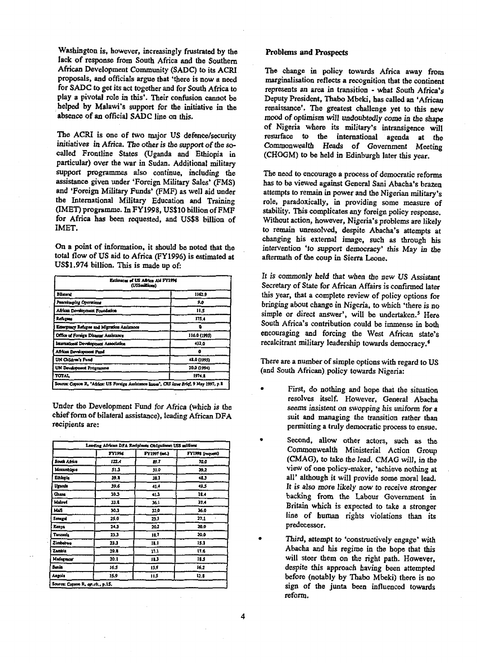Washington is, however, increasingly frustrated by the lack of response from South Africa and the Southern African Development Community (SADC) to its ACRI proposals, and officials argue that 'there is now a need for SADC to get its act together and for South Africa to play a pivotal role in this'. Their confusion cannot be helped by Malawi's support for the initiative in the absence of an official SADC line on this.

The ACRI is one of two major US defence/security initiatives in Africa. The other is the support of the socalled Frontline States (Uganda and Ethiopia in particular) over the war in Sudan. Additional military support programmes also continue, including the assistance given under 'Foreign Military Sales' (FMS) and 'Foreign Military Funds' (FMF) as well aid under the International Military Education and Training (IMET) programme. In FY1998, US\$10 billion of FMF for Africa has been requested, and US\$8 billion of IMET.

On a point of information, it should be noted that the total flow of US aid to Africa (FY1996) is estimated at US\$1.974 billion. This is made up of:

| Estimates of US Africa Aid FY1996<br>(US\$millions)                                         |              |  |
|---------------------------------------------------------------------------------------------|--------------|--|
| <b>Bilara</b>                                                                               | 1162.9       |  |
| Peacekaeplag Operminus                                                                      | 9.0          |  |
| African Development Foundation                                                              | 11 S         |  |
| Refuten                                                                                     | 175.4        |  |
| Emergency Refuges and Migration Assistance                                                  |              |  |
| Office of Foreign Disaster Assistance                                                       | 116.0 (1995) |  |
| International Development Association                                                       | 432.0        |  |
| African Development Pund                                                                    |              |  |
| UN Children's Fund                                                                          | 48.0 (1995)  |  |
| UN Development Programme                                                                    | 20.0 (1994)  |  |
| TOTAL                                                                                       | 1974.2       |  |
| Source: Copson R, "Africa: US Foreign Assistance Issues", CRS Irrae Brief, 9 May 1997, p. 8 |              |  |

Under the Development Fund for Africa (which is the chief form of bilateral assistance), leading African DFA recipients are:

|              | FY1996 | FY1997 (mt.) | FY1998 (request) |
|--------------|--------|--------------|------------------|
| South Africa | 122.4  | 19.T         | 10.0             |
| Monumbique   | 51.3   | 31.0         | 39.2             |
| Ethlopia     | 39.1   | 31.1         | 41.3             |
| Uranda       | 39.6   | 41.4         | 49.5             |
| Ghana        | 39.3   | 45.3         | 38.4             |
| Malawi       | 33.4   | 36.1         | 37.4             |
| Mall         | 30.3   | 32.0         | 36.0             |
| Senegal      | 25.0   | 23.3         | 27.1             |
| Kenva        | 24.3   | 20.2         | 20.0             |
| Tanzania     | 23.3   | 11.7         | 20.0             |
| Zimbabwa     | 23.3   | 12.1         | 15.1             |
| Zambia       | 20.8   | 11.1         | 11.6             |
| Madaguscar   | 20.1   | 12.3         | 18.5             |
| Benin        | 16.5   | 13 S         | 16.2             |
| Angola       | 15.9   | 11.5         | 12.8             |

#### Problems and Prospects

The change in policy towards Africa away from marginalisation reflects a recognition that the continent represents an area in transition - what South Africa's Deputy President, Thabo Mbeki, has called an 'African renaissance'. The greatest challenge yet to this new mood of optimism will undoubtedly come in the shape of Nigeria where its military's intransigence will resurface to the international agenda at the Commonwealth Heads of Government Meeting (CHOGM) to be held in Edinburgh later this year.

The need to encourage a process of democratic reforms has to be viewed against General Sani Abacha's brazen attempts to remain in power and the Nigerian military's role, paradoxically, in providing some measure of stability. This complicates any foreign policy response. Without action, however, Nigeria's problems are likely to remain unresolved, despite Abacha's attempts at changing his external image, such as through his intervention 'to support democracy' this May in the aftermath of the coup in Sierra Leone.

It is commonly held that when the new US Assistant Secretary of State for African Affairs is confirmed later this year, that a complete review of policy options for bringing about change in Nigeria, to which 'there is no simple or direct answer', will be undertaken.<sup>5</sup> Here South Africa's contribution could be immense in both encouraging and forcing the West African state's recalcitrant military leadership towards democracy.<sup>6</sup>

There are a number of simple options with regard to US (and South African) policy towards Nigeria:

- First, do nothing and hope that the situation resolves itself. However, General Abacha seems insistent on swopping his uniform for a suit and managing the transition rather than permitting a truly democratic process to ensue.
- Second, allow other actors, such as the Commonwealth Ministerial Action Group (CMAG), to take the lead. CMAG will, in the view of one policy-maker, 'achieve nothing at all' although it will provide some moral lead. It is also more likely now to receive stronger backing from the Labour Government in Britain which is expected to take a stronger line of human rights violations than its predecessor.
- Third, attempt to 'constructively engage' with Abacha and his regime in the hope that this will steer them on the right path. However, despite this approach having been attempted before (notably by Thabo Mbeki) there is no sign of the junta been influenced towards reform.